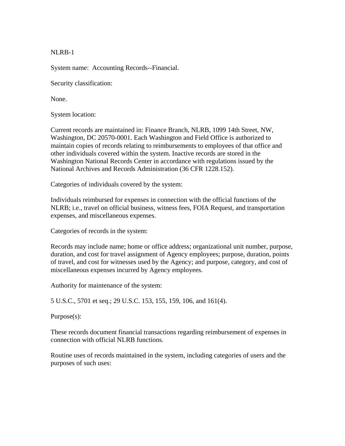NLRB-1

System name: Accounting Records--Financial.

Security classification:

None.

System location:

Current records are maintained in: Finance Branch, NLRB, 1099 14th Street, NW, Washington, DC 20570-0001. Each Washington and Field Office is authorized to maintain copies of records relating to reimbursements to employees of that office and other individuals covered within the system. Inactive records are stored in the Washington National Records Center in accordance with regulations issued by the National Archives and Records Administration (36 CFR 1228.152).

Categories of individuals covered by the system:

Individuals reimbursed for expenses in connection with the official functions of the NLRB; i.e., travel on official business, witness fees, FOIA Request, and transportation expenses, and miscellaneous expenses.

Categories of records in the system:

Records may include name; home or office address; organizational unit number, purpose, duration, and cost for travel assignment of Agency employees; purpose, duration, points of travel, and cost for witnesses used by the Agency; and purpose, category, and cost of miscellaneous expenses incurred by Agency employees.

Authority for maintenance of the system:

5 U.S.C., 5701 et seq.; 29 U.S.C. 153, 155, 159, 106, and 161(4).

Purpose(s):

These records document financial transactions regarding reimbursement of expenses in connection with official NLRB functions.

Routine uses of records maintained in the system, including categories of users and the purposes of such uses: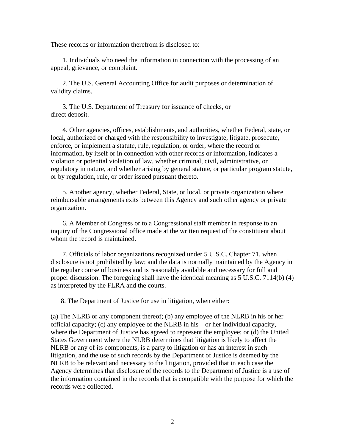These records or information therefrom is disclosed to:

 1. Individuals who need the information in connection with the processing of an appeal, grievance, or complaint.

 2. The U.S. General Accounting Office for audit purposes or determination of validity claims.

 3. The U.S. Department of Treasury for issuance of checks, or direct deposit.

 4. Other agencies, offices, establishments, and authorities, whether Federal, state, or local, authorized or charged with the responsibility to investigate, litigate, prosecute, enforce, or implement a statute, rule, regulation, or order, where the record or information, by itself or in connection with other records or information, indicates a violation or potential violation of law, whether criminal, civil, administrative, or regulatory in nature, and whether arising by general statute, or particular program statute, or by regulation, rule, or order issued pursuant thereto.

 5. Another agency, whether Federal, State, or local, or private organization where reimbursable arrangements exits between this Agency and such other agency or private organization.

 6. A Member of Congress or to a Congressional staff member in response to an inquiry of the Congressional office made at the written request of the constituent about whom the record is maintained.

 7. Officials of labor organizations recognized under 5 U.S.C. Chapter 71, when disclosure is not prohibited by law; and the data is normally maintained by the Agency in the regular course of business and is reasonably available and necessary for full and proper discussion. The foregoing shall have the identical meaning as 5 U.S.C. 7114(b) (4) as interpreted by the FLRA and the courts.

8. The Department of Justice for use in litigation, when either:

(a) The NLRB or any component thereof; (b) any employee of the NLRB in his or her official capacity; (c) any employee of the NLRB in his or her individual capacity, where the Department of Justice has agreed to represent the employee; or (d) the United States Government where the NLRB determines that litigation is likely to affect the NLRB or any of its components, is a party to litigation or has an interest in such litigation, and the use of such records by the Department of Justice is deemed by the NLRB to be relevant and necessary to the litigation, provided that in each case the Agency determines that disclosure of the records to the Department of Justice is a use of the information contained in the records that is compatible with the purpose for which the records were collected.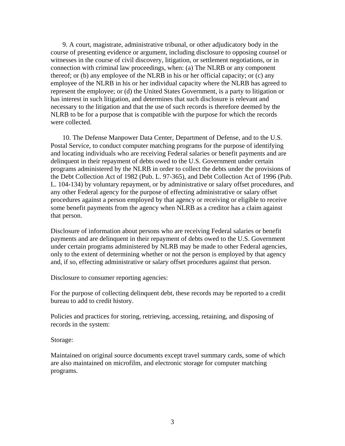9. A court, magistrate, administrative tribunal, or other adjudicatory body in the course of presenting evidence or argument, including disclosure to opposing counsel or witnesses in the course of civil discovery, litigation, or settlement negotiations, or in connection with criminal law proceedings, when: (a) The NLRB or any component thereof; or (b) any employee of the NLRB in his or her official capacity; or (c) any employee of the NLRB in his or her individual capacity where the NLRB has agreed to represent the employee; or (d) the United States Government, is a party to litigation or has interest in such litigation, and determines that such disclosure is relevant and necessary to the litigation and that the use of such records is therefore deemed by the NLRB to be for a purpose that is compatible with the purpose for which the records were collected.

 10. The Defense Manpower Data Center, Department of Defense, and to the U.S. Postal Service, to conduct computer matching programs for the purpose of identifying and locating individuals who are receiving Federal salaries or benefit payments and are delinquent in their repayment of debts owed to the U.S. Government under certain programs administered by the NLRB in order to collect the debts under the provisions of the Debt Collection Act of 1982 (Pub. L. 97-365), and Debt Collection Act of 1996 (Pub. L. 104-134) by voluntary repayment, or by administrative or salary offset procedures, and any other Federal agency for the purpose of effecting administrative or salary offset procedures against a person employed by that agency or receiving or eligible to receive some benefit payments from the agency when NLRB as a creditor has a claim against that person.

Disclosure of information about persons who are receiving Federal salaries or benefit payments and are delinquent in their repayment of debts owed to the U.S. Government under certain programs administered by NLRB may be made to other Federal agencies, only to the extent of determining whether or not the person is employed by that agency and, if so, effecting administrative or salary offset procedures against that person.

Disclosure to consumer reporting agencies:

For the purpose of collecting delinquent debt, these records may be reported to a credit bureau to add to credit history.

Policies and practices for storing, retrieving, accessing, retaining, and disposing of records in the system:

## Storage:

Maintained on original source documents except travel summary cards, some of which are also maintained on microfilm, and electronic storage for computer matching programs.